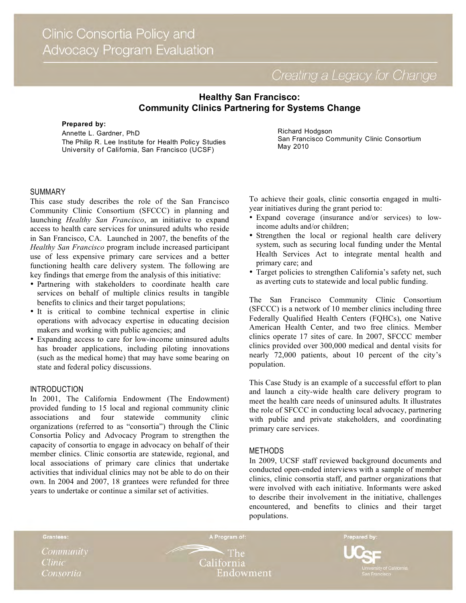Creating a Legacy for Change

# **Healthy San Francisco: Community Clinics Partnering for Systems Change**

#### **Prepared by:**

Annette L. Gardner, PhD The Philip R. Lee Institute for Health Policy Studies University of California, San Francisco (UCSF)

### Richard Hodgson San Francisco Community Clinic Consortium May 2010

# SUMMARY

This case study describes the role of the San Francisco Community Clinic Consortium (SFCCC) in planning and launching *Healthy San Francisco*, an initiative to expand access to health care services for uninsured adults who reside in San Francisco, CA. Launched in 2007, the benefits of the *Healthy San Francisco* program include increased participant use of less expensive primary care services and a better functioning health care delivery system. The following are key findings that emerge from the analysis of this initiative:

- Partnering with stakeholders to coordinate health care services on behalf of multiple clinics results in tangible benefits to clinics and their target populations;
- It is critical to combine technical expertise in clinic operations with advocacy expertise in educating decision makers and working with public agencies; and
- Expanding access to care for low-income uninsured adults has broader applications, including piloting innovations (such as the medical home) that may have some bearing on state and federal policy discussions.

# INTRODUCTION

In 2001, The California Endowment (The Endowment) provided funding to 15 local and regional community clinic associations and four statewide community clinic organizations (referred to as "consortia") through the Clinic Consortia Policy and Advocacy Program to strengthen the capacity of consortia to engage in advocacy on behalf of their member clinics. Clinic consortia are statewide, regional, and local associations of primary care clinics that undertake activities that individual clinics may not be able to do on their own. In 2004 and 2007, 18 grantees were refunded for three years to undertake or continue a similar set of activities.

To achieve their goals, clinic consortia engaged in multiyear initiatives during the grant period to:

- Expand coverage (insurance and/or services) to lowincome adults and/or children;
- Strengthen the local or regional health care delivery system, such as securing local funding under the Mental Health Services Act to integrate mental health and primary care; and
- Target policies to strengthen California's safety net, such as averting cuts to statewide and local public funding.

The San Francisco Community Clinic Consortium (SFCCC) is a network of 10 member clinics including three Federally Qualified Health Centers (FQHCs), one Native American Health Center, and two free clinics. Member clinics operate 17 sites of care. In 2007, SFCCC member clinics provided over 300,000 medical and dental visits for nearly 72,000 patients, about 10 percent of the city's population.

This Case Study is an example of a successful effort to plan and launch a city-wide health care delivery program to meet the health care needs of uninsured adults*.* It illustrates the role of SFCCC in conducting local advocacy, partnering with public and private stakeholders, and coordinating primary care services.

### METHODS

In 2009, UCSF staff reviewed background documents and conducted open-ended interviews with a sample of member clinics, clinic consortia staff, and partner organizations that were involved with each initiative. Informants were asked to describe their involvement in the initiative, challenges encountered, and benefits to clinics and their target populations.

Grantees:

Community Clinic Consortia

**The** California Endowment

A Program of:

Prepared by: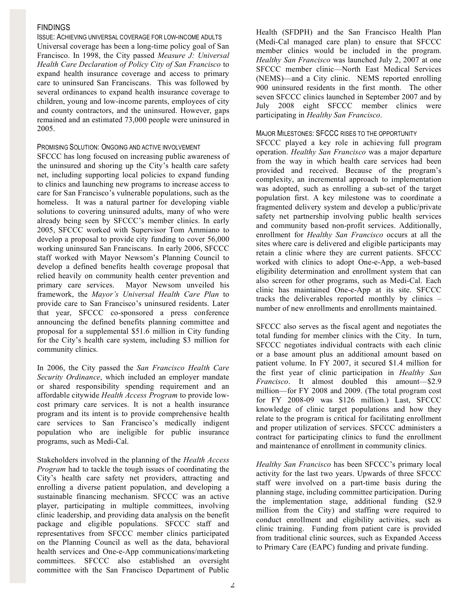# **FINDINGS**

ISSUE: ACHIEVING UNIVERSAL COVERAGE FOR LOW-INCOME ADULTS Universal coverage has been a long-time policy goal of San Francisco. In 1998, the City passed *Measure J: Universal Health Care Declaration of Policy City of San Francisco* to expand health insurance coverage and access to primary care to uninsured San Franciscans. This was followed by several ordinances to expand health insurance coverage to children, young and low-income parents, employees of city and county contractors, and the uninsured. However, gaps remained and an estimated 73,000 people were uninsured in 2005.

### PROMISING SOLUTION: ONGOING AND ACTIVE INVOLVEMENT

SFCCC has long focused on increasing public awareness of the uninsured and shoring up the City's health care safety net, including supporting local policies to expand funding to clinics and launching new programs to increase access to care for San Francisco's vulnerable populations, such as the homeless. It was a natural partner for developing viable solutions to covering uninsured adults, many of who were already being seen by SFCCC's member clinics. In early 2005, SFCCC worked with Supervisor Tom Ammiano to develop a proposal to provide city funding to cover 56,000 working uninsured San Franciscans. In early 2006, SFCCC staff worked with Mayor Newsom's Planning Council to develop a defined benefits health coverage proposal that relied heavily on community health center prevention and primary care services. Mayor Newsom unveiled his framework, the *Mayor's Universal Health Care Plan* to provide care to San Francisco's uninsured residents. Later that year, SFCCC co-sponsored a press conference announcing the defined benefits planning committee and proposal for a supplemental \$51.6 million in City funding for the City's health care system, including \$3 million for community clinics.

In 2006, the City passed the *San Francisco Health Care Security Ordinance*, which included an employer mandate or shared responsibility spending requirement and an affordable citywide *Health Access Program* to provide lowcost primary care services. It is not a health insurance program and its intent is to provide comprehensive health care services to San Francisco's medically indigent population who are ineligible for public insurance programs, such as Medi-Cal.

Stakeholders involved in the planning of the *Health Access Program* had to tackle the tough issues of coordinating the City's health care safety net providers, attracting and enrolling a diverse patient population, and developing a sustainable financing mechanism. SFCCC was an active player, participating in multiple committees, involving clinic leadership, and providing data analysis on the benefit package and eligible populations. SFCCC staff and representatives from SFCCC member clinics participated on the Planning Council as well as the data, behavioral health services and One-e-App communications/marketing committees. SFCCC also established an oversight committee with the San Francisco Department of Public

Health (SFDPH) and the San Francisco Health Plan (Medi-Cal managed care plan) to ensure that SFCCC member clinics would be included in the program. *Healthy San Francisco* was launched July 2, 2007 at one SFCCC member clinic—North East Medical Services (NEMS)—and a City clinic. NEMS reported enrolling 900 uninsured residents in the first month. The other seven SFCCC clinics launched in September 2007 and by July 2008 eight SFCCC member clinics were participating in *Healthy San Francisco*.

### MAJOR MILESTONES: SFCCC RISES TO THE OPPORTUNITY

SFCCC played a key role in achieving full program operation. *Healthy San Francisco* was a major departure from the way in which health care services had been provided and received. Because of the program's complexity, an incremental approach to implementation was adopted, such as enrolling a sub-set of the target population first. A key milestone was to coordinate a fragmented delivery system and develop a public/private safety net partnership involving public health services and community based non-profit services. Additionally, enrollment for *Healthy San Francisco* occurs at all the sites where care is delivered and eligible participants may retain a clinic where they are current patients. SFCCC worked with clinics to adopt One-e-App, a web-based eligibility determination and enrollment system that can also screen for other programs, such as Medi-Cal. Each clinic has maintained One-e-App at its site. SFCCC tracks the deliverables reported monthly by clinics – number of new enrollments and enrollments maintained.

SFCCC also serves as the fiscal agent and negotiates the total funding for member clinics with the City. In turn, SFCCC negotiates individual contracts with each clinic or a base amount plus an additional amount based on patient volume. In FY 2007, it secured \$1.4 million for the first year of clinic participation in *Healthy San Francisco*. It almost doubled this amount—\$2.9 million—for FY 2008 and 2009. (The total program cost for FY 2008-09 was \$126 million.) Last, SFCCC knowledge of clinic target populations and how they relate to the program is critical for facilitating enrollment and proper utilization of services. SFCCC administers a contract for participating clinics to fund the enrollment and maintenance of enrollment in community clinics.

*Healthy San Francisco* has been SFCCC's primary local activity for the last two years. Upwards of three SFCCC staff were involved on a part-time basis during the planning stage, including committee participation. During the implementation stage, additional funding (\$2.9 million from the City) and staffing were required to conduct enrollment and eligibility activities, such as clinic training. Funding from patient care is provided from traditional clinic sources, such as Expanded Access to Primary Care (EAPC) funding and private funding.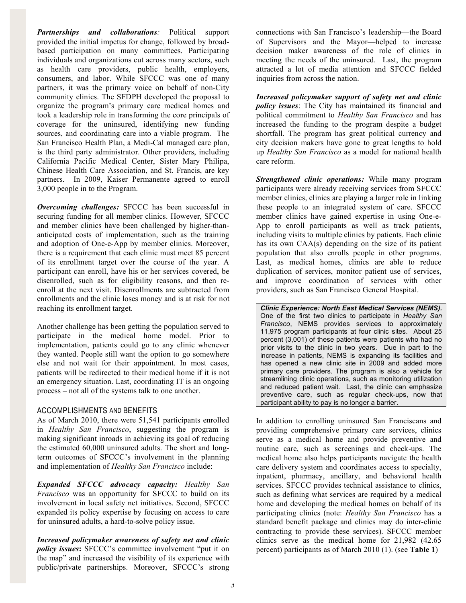*Partnerships and collaborations:* Political support provided the initial impetus for change, followed by broadbased participation on many committees. Participating individuals and organizations cut across many sectors, such as health care providers, public health, employers, consumers, and labor. While SFCCC was one of many partners, it was the primary voice on behalf of non-City community clinics. The SFDPH developed the proposal to organize the program's primary care medical homes and took a leadership role in transforming the core principals of coverage for the uninsured, identifying new funding sources, and coordinating care into a viable program. The San Francisco Health Plan, a Medi-Cal managed care plan, is the third party administrator. Other providers, including California Pacific Medical Center, Sister Mary Philipa, Chinese Health Care Association, and St. Francis, are key partners. In 2009, Kaiser Permanente agreed to enroll 3,000 people in to the Program.

*Overcoming challenges:* SFCCC has been successful in securing funding for all member clinics. However, SFCCC and member clinics have been challenged by higher-thananticipated costs of implementation, such as the training and adoption of One-e-App by member clinics. Moreover, there is a requirement that each clinic must meet 85 percent of its enrollment target over the course of the year. A participant can enroll, have his or her services covered, be disenrolled, such as for eligibility reasons, and then reenroll at the next visit. Disenrollments are subtracted from enrollments and the clinic loses money and is at risk for not reaching its enrollment target.

Another challenge has been getting the population served to participate in the medical home model. Prior to implementation, patients could go to any clinic whenever they wanted. People still want the option to go somewhere else and not wait for their appointment. In most cases, patients will be redirected to their medical home if it is not an emergency situation. Last, coordinating IT is an ongoing process – not all of the systems talk to one another.

### ACCOMPLISHMENTS AND BENEFITS

As of March 2010, there were 51,541 participants enrolled in *Healthy San Francisco*, suggesting the program is making significant inroads in achieving its goal of reducing the estimated 60,000 uninsured adults. The short and longterm outcomes of SFCCC's involvement in the planning and implementation of *Healthy San Francisco* include:

*Expanded SFCCC advocacy capacity: Healthy San Francisco* was an opportunity for SFCCC to build on its involvement in local safety net initiatives. Second, SFCCC expanded its policy expertise by focusing on access to care for uninsured adults, a hard-to-solve policy issue.

*Increased policymaker awareness of safety net and clinic policy issues***:** SFCCC's committee involvement "put it on the map" and increased the visibility of its experience with public/private partnerships. Moreover, SFCCC's strong connections with San Francisco's leadership—the Board of Supervisors and the Mayor—helped to increase decision maker awareness of the role of clinics in meeting the needs of the uninsured. Last, the program attracted a lot of media attention and SFCCC fielded inquiries from across the nation.

*Increased policymaker support of safety net and clinic policy issues*: The City has maintained its financial and political commitment to *Healthy San Francisco* and has increased the funding to the program despite a budget shortfall. The program has great political currency and city decision makers have gone to great lengths to hold up *Healthy San Francisco* as a model for national health care reform.

*Strengthened clinic operations:* While many program participants were already receiving services from SFCCC member clinics, clinics are playing a larger role in linking these people to an integrated system of care. SFCCC member clinics have gained expertise in using One-e-App to enroll participants as well as track patients, including visits to multiple clinics by patients. Each clinic has its own CAA(s) depending on the size of its patient population that also enrolls people in other programs. Last, as medical homes, clinics are able to reduce duplication of services, monitor patient use of services, and improve coordination of services with other providers, such as San Francisco General Hospital.

*Clinic Experience: North East Medical Services (NEMS).* One of the first two clinics to participate in *Healthy San Francisco*, NEMS provides services to approximately 11,975 program participants at four clinic sites. About 25 percent (3,001) of these patients were patients who had no prior visits to the clinic in two years. Due in part to the increase in patients, NEMS is expanding its facilities and has opened a new clinic site in 2009 and added more primary care providers. The program is also a vehicle for streamlining clinic operations, such as monitoring utilization and reduced patient wait. Last, the clinic can emphasize preventive care, such as regular check-ups, now that participant ability to pay is no longer a barrier.

In addition to enrolling uninsured San Franciscans and providing comprehensive primary care services, clinics serve as a medical home and provide preventive and routine care, such as screenings and check-ups. The medical home also helps participants navigate the health care delivery system and coordinates access to specialty, inpatient, pharmacy, ancillary, and behavioral health services. SFCCC provides technical assistance to clinics, such as defining what services are required by a medical home and developing the medical homes on behalf of its participating clinics (note: *Healthy San Francisco* has a standard benefit package and clinics may do inter-clinic contracting to provide these services). SFCCC member clinics serve as the medical home for 21,982 (42.65 percent) participants as of March 2010 (1). (see **Table 1**)